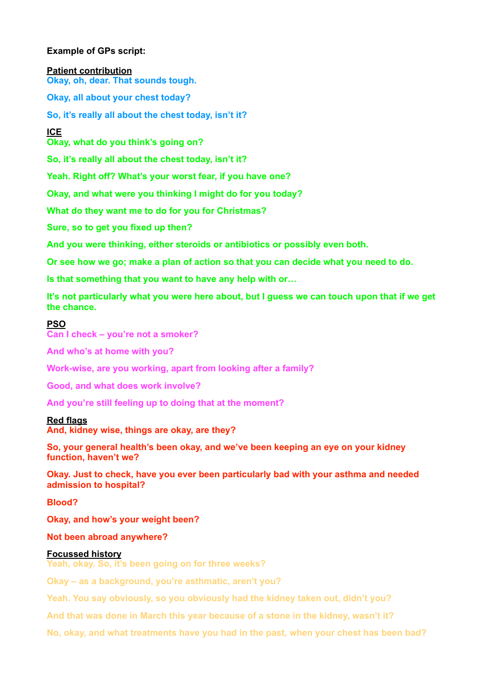# **Example of GPs script:**

**Patient contribution** 

**Okay, oh, dear. That sounds tough.** 

**Okay, all about your chest today?** 

**So, it's really all about the chest today, isn't it?** 

**ICE** 

**Okay, what do you think's going on?** 

**So, it's really all about the chest today, isn't it?** 

**Yeah. Right off? What's your worst fear, if you have one?** 

**Okay, and what were you thinking I might do for you today?** 

**What do they want me to do for you for Christmas?** 

**Sure, so to get you fixed up then?** 

**And you were thinking, either steroids or antibiotics or possibly even both.** 

**Or see how we go; make a plan of action so that you can decide what you need to do.** 

**Is that something that you want to have any help with or…** 

**It's not particularly what you were here about, but I guess we can touch upon that if we get the chance.** 

## **PSO**

**Can I check – you're not a smoker?** 

**And who's at home with you?** 

**Work-wise, are you working, apart from looking after a family?** 

**Good, and what does work involve?** 

**And you're still feeling up to doing that at the moment?** 

## **Red flags**

**And, kidney wise, things are okay, are they?** 

**So, your general health's been okay, and we've been keeping an eye on your kidney function, haven't we?** 

**Okay. Just to check, have you ever been particularly bad with your asthma and needed admission to hospital?** 

**Blood?** 

**Okay, and how's your weight been?** 

**Not been abroad anywhere?** 

## **Focussed history**

**Yeah, okay. So, it's been going on for three weeks?** 

**Okay – as a background, you're asthmatic, aren't you?** 

**Yeah. You say obviously, so you obviously had the kidney taken out, didn't you?** 

**And that was done in March this year because of a stone in the kidney, wasn't it?** 

**No, okay, and what treatments have you had in the past, when your chest has been bad?**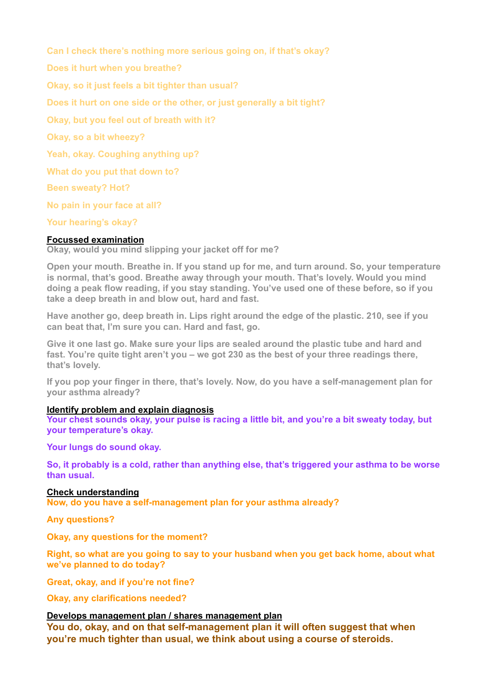**Can I check there's nothing more serious going on, if that's okay? Does it hurt when you breathe? Okay, so it just feels a bit tighter than usual? Does it hurt on one side or the other, or just generally a bit tight? Okay, but you feel out of breath with it? Okay, so a bit wheezy? Yeah, okay. Coughing anything up? What do you put that down to? Been sweaty? Hot? No pain in your face at all? Your hearing's okay?**

## **Focussed examination**

**Okay, would you mind slipping your jacket off for me?** 

**Open your mouth. Breathe in. If you stand up for me, and turn around. So, your temperature is normal, that's good. Breathe away through your mouth. That's lovely. Would you mind doing a peak flow reading, if you stay standing. You've used one of these before, so if you take a deep breath in and blow out, hard and fast.** 

**Have another go, deep breath in. Lips right around the edge of the plastic. 210, see if you can beat that, I'm sure you can. Hard and fast, go.** 

**Give it one last go. Make sure your lips are sealed around the plastic tube and hard and fast. You're quite tight aren't you – we got 230 as the best of your three readings there, that's lovely.** 

**If you pop your finger in there, that's lovely. Now, do you have a self-management plan for your asthma already?** 

## **Identify problem and explain diagnosis**

**Your chest sounds okay, your pulse is racing a little bit, and you're a bit sweaty today, but your temperature's okay.** 

**Your lungs do sound okay.** 

**So, it probably is a cold, rather than anything else, that's triggered your asthma to be worse than usual.** 

## **Check understanding**

**Now, do you have a self-management plan for your asthma already?** 

**Any questions?** 

**Okay, any questions for the moment?** 

**Right, so what are you going to say to your husband when you get back home, about what we've planned to do today?** 

**Great, okay, and if you're not fine?** 

**Okay, any clarifications needed?** 

## **Develops management plan / shares management plan**

**You do, okay, and on that self-management plan it will often suggest that when you're much tighter than usual, we think about using a course of steroids.**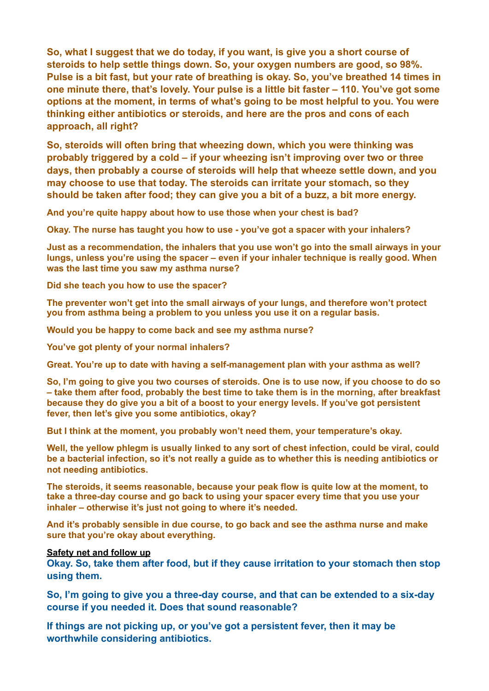**So, what I suggest that we do today, if you want, is give you a short course of steroids to help settle things down. So, your oxygen numbers are good, so 98%. Pulse is a bit fast, but your rate of breathing is okay. So, you've breathed 14 times in one minute there, that's lovely. Your pulse is a little bit faster – 110. You've got some options at the moment, in terms of what's going to be most helpful to you. You were thinking either antibiotics or steroids, and here are the pros and cons of each approach, all right?** 

**So, steroids will often bring that wheezing down, which you were thinking was probably triggered by a cold – if your wheezing isn't improving over two or three days, then probably a course of steroids will help that wheeze settle down, and you may choose to use that today. The steroids can irritate your stomach, so they should be taken after food; they can give you a bit of a buzz, a bit more energy.** 

**And you're quite happy about how to use those when your chest is bad?** 

**Okay. The nurse has taught you how to use - you've got a spacer with your inhalers?** 

**Just as a recommendation, the inhalers that you use won't go into the small airways in your lungs, unless you're using the spacer – even if your inhaler technique is really good. When was the last time you saw my asthma nurse?** 

**Did she teach you how to use the spacer?** 

**The preventer won't get into the small airways of your lungs, and therefore won't protect you from asthma being a problem to you unless you use it on a regular basis.** 

**Would you be happy to come back and see my asthma nurse?** 

**You've got plenty of your normal inhalers?** 

**Great. You're up to date with having a self-management plan with your asthma as well?** 

**So, I'm going to give you two courses of steroids. One is to use now, if you choose to do so – take them after food, probably the best time to take them is in the morning, after breakfast because they do give you a bit of a boost to your energy levels. If you've got persistent fever, then let's give you some antibiotics, okay?** 

**But I think at the moment, you probably won't need them, your temperature's okay.** 

**Well, the yellow phlegm is usually linked to any sort of chest infection, could be viral, could be a bacterial infection, so it's not really a guide as to whether this is needing antibiotics or not needing antibiotics.** 

**The steroids, it seems reasonable, because your peak flow is quite low at the moment, to take a three-day course and go back to using your spacer every time that you use your inhaler – otherwise it's just not going to where it's needed.** 

**And it's probably sensible in due course, to go back and see the asthma nurse and make sure that you're okay about everything.** 

#### **Safety net and follow up**

**Okay. So, take them after food, but if they cause irritation to your stomach then stop using them.** 

**So, I'm going to give you a three-day course, and that can be extended to a six-day course if you needed it. Does that sound reasonable?** 

**If things are not picking up, or you've got a persistent fever, then it may be worthwhile considering antibiotics.**